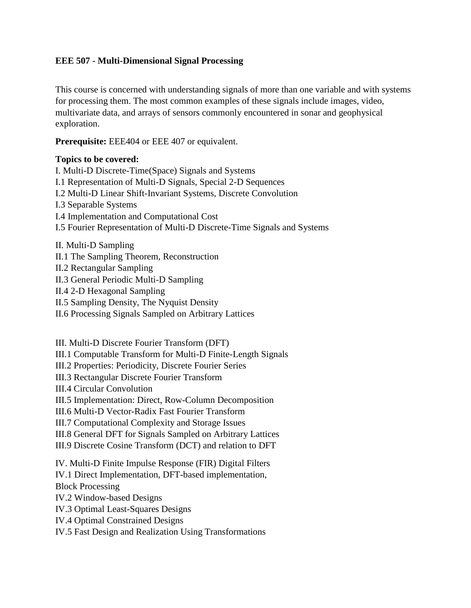## **EEE 507 - Multi-Dimensional Signal Processing**

This course is concerned with understanding signals of more than one variable and with systems for processing them. The most common examples of these signals include images, video, multivariate data, and arrays of sensors commonly encountered in sonar and geophysical exploration.

**Prerequisite:** EEE404 or EEE 407 or equivalent.

## **Topics to be covered:**

I. Multi-D Discrete-Time(Space) Signals and Systems I.1 Representation of Multi-D Signals, Special 2-D Sequences I.2 Multi-D Linear Shift-Invariant Systems, Discrete Convolution I.3 Separable Systems I.4 Implementation and Computational Cost I.5 Fourier Representation of Multi-D Discrete-Time Signals and Systems II. Multi-D Sampling II.1 The Sampling Theorem, Reconstruction

II.2 Rectangular Sampling

II.3 General Periodic Multi-D Sampling

II.4 2-D Hexagonal Sampling

II.5 Sampling Density, The Nyquist Density

II.6 Processing Signals Sampled on Arbitrary Lattices

III. Multi-D Discrete Fourier Transform (DFT)

III.1 Computable Transform for Multi-D Finite-Length Signals

III.2 Properties: Periodicity, Discrete Fourier Series

III.3 Rectangular Discrete Fourier Transform

III.4 Circular Convolution

III.5 Implementation: Direct, Row-Column Decomposition

III.6 Multi-D Vector-Radix Fast Fourier Transform

III.7 Computational Complexity and Storage Issues

III.8 General DFT for Signals Sampled on Arbitrary Lattices

III.9 Discrete Cosine Transform (DCT) and relation to DFT

IV. Multi-D Finite Impulse Response (FIR) Digital Filters

IV.1 Direct Implementation, DFT-based implementation,

Block Processing

IV.2 Window-based Designs

IV.3 Optimal Least-Squares Designs

IV.4 Optimal Constrained Designs

IV.5 Fast Design and Realization Using Transformations